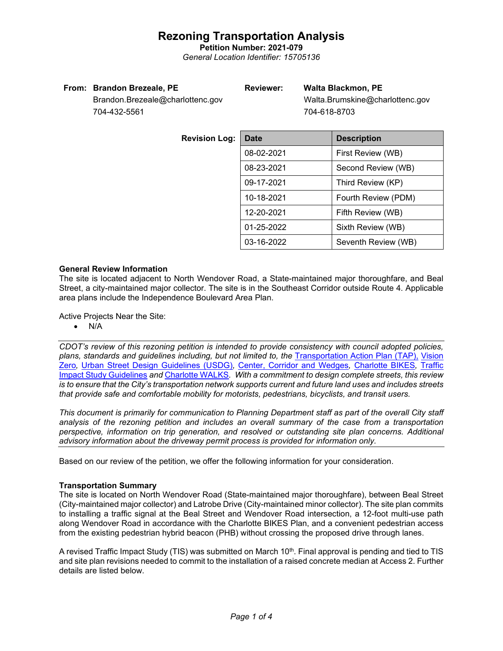**Petition Number: 2021-079** *General Location Identifier: 15705136*

### **From: Brandon Brezeale, PE**

# **Reviewer: Walta Blackmon, PE**

Brandon.Brezeale@charlottenc.gov 704-432-5561

 Walta.Brumskine@charlottenc.gov 704-618-8703

| <b>Revision Log:</b> | <b>Date</b>                     | <b>Description</b>  |  |
|----------------------|---------------------------------|---------------------|--|
|                      | 08-02-2021                      | First Review (WB)   |  |
|                      | 08-23-2021                      | Second Review (WB)  |  |
|                      | 09-17-2021                      | Third Review (KP)   |  |
|                      | 10-18-2021                      | Fourth Review (PDM) |  |
|                      | 12-20-2021<br>Fifth Review (WB) |                     |  |
|                      | 01-25-2022                      | Sixth Review (WB)   |  |
|                      | 03-16-2022                      | Seventh Review (WB) |  |

# **General Review Information**

The site is located adjacent to North Wendover Road, a State-maintained major thoroughfare, and Beal Street, a city-maintained major collector. The site is in the Southeast Corridor outside Route 4. Applicable area plans include the Independence Boulevard Area Plan.

Active Projects Near the Site:

• N/A

*CDOT's review of this rezoning petition is intended to provide consistency with council adopted policies, plans, standards and guidelines including, but not limited to, the* [Transportation Action Plan \(TAP\),](https://charlottenc.gov/Transportation/Programs/Pages/TransportationActionPlan.aspx) [Vision](https://charlottenc.gov/VisionZero/Pages/VisionZero.aspx)  [Zero](https://charlottenc.gov/VisionZero/Pages/VisionZero.aspx)*,* [Urban Street Design Guidelines \(USDG\)](https://charlottenc.gov/Transportation/PlansProjects/Documents/USDG%20Full%20Document.pdf)*,* [Center, Corridor and Wedges](http://ww.charmeck.org/Planning/Land%20Use%20Planning/CentersCorridorsWedges/CentersCorridorsWedges(Adopted).pdf)*,* [Charlotte BIKES](https://charlottenc.gov/Transportation/Programs/Pages/Bicycle.aspx)*,* [Traffic](https://charlottenc.gov/Transportation/Permits/Documents/TISProcessandGuildlines.pdf)  [Impact Study Guidelines](https://charlottenc.gov/Transportation/Permits/Documents/TISProcessandGuildlines.pdf) *and* [Charlotte WALKS](https://charlottenc.gov/Transportation/Programs/Pages/CharlotteWalks.aspx)*. With a commitment to design complete streets, this review is to ensure that the City's transportation network supports current and future land uses and includes streets that provide safe and comfortable mobility for motorists, pedestrians, bicyclists, and transit users.*

*This document is primarily for communication to Planning Department staff as part of the overall City staff analysis of the rezoning petition and includes an overall summary of the case from a transportation perspective, information on trip generation, and resolved or outstanding site plan concerns. Additional advisory information about the driveway permit process is provided for information only.*

Based on our review of the petition, we offer the following information for your consideration.

# **Transportation Summary**

The site is located on North Wendover Road (State-maintained major thoroughfare), between Beal Street (City-maintained major collector) and Latrobe Drive (City-maintained minor collector). The site plan commits to installing a traffic signal at the Beal Street and Wendover Road intersection, a 12-foot multi-use path along Wendover Road in accordance with the Charlotte BIKES Plan, and a convenient pedestrian access from the existing pedestrian hybrid beacon (PHB) without crossing the proposed drive through lanes.

A revised Traffic Impact Study (TIS) was submitted on March 10<sup>th</sup>. Final approval is pending and tied to TIS and site plan revisions needed to commit to the installation of a raised concrete median at Access 2. Further details are listed below.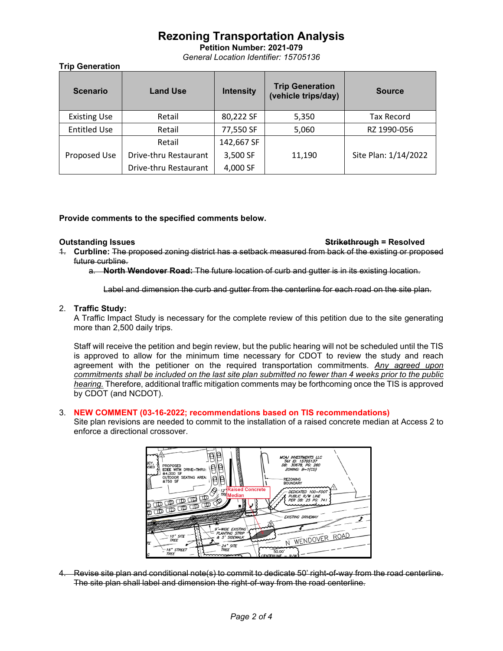**Petition Number: 2021-079** *General Location Identifier: 15705136*

**Trip Generation**

| <b>Scenario</b>     | <b>Land Use</b>       | <b>Intensity</b> | <b>Trip Generation</b><br>(vehicle trips/day) | <b>Source</b>        |
|---------------------|-----------------------|------------------|-----------------------------------------------|----------------------|
| <b>Existing Use</b> | Retail                | 80,222 SF        | 5,350                                         | Tax Record           |
| <b>Entitled Use</b> | Retail                | 77,550 SF        | 5,060                                         | RZ 1990-056          |
|                     | Retail                | 142,667 SF       |                                               |                      |
| Proposed Use        | Drive-thru Restaurant | 3,500 SF         | 11,190                                        | Site Plan: 1/14/2022 |
|                     | Drive-thru Restaurant | 4,000 SF         |                                               |                      |

# **Provide comments to the specified comments below.**

#### **Outstanding Issues Strikethrough = Resolved**

- 1. **Curbline:** The proposed zoning district has a setback measured from back of the existing or proposed future curbline.
	- a. **North Wendover Road:** The future location of curb and gutter is in its existing location.

Label and dimension the curb and gutter from the centerline for each road on the site plan.

### 2. **Traffic Study:**

A Traffic Impact Study is necessary for the complete review of this petition due to the site generating more than 2,500 daily trips.

Staff will receive the petition and begin review, but the public hearing will not be scheduled until the TIS is approved to allow for the minimum time necessary for CDOT to review the study and reach agreement with the petitioner on the required transportation commitments. *Any agreed upon commitments shall be included on the last site plan submitted no fewer than 4 weeks prior to the public hearing.* Therefore, additional traffic mitigation comments may be forthcoming once the TIS is approved by CDOT (and NCDOT).

### 3. **NEW COMMENT (03-16-2022; recommendations based on TIS recommendations)**

Site plan revisions are needed to commit to the installation of a raised concrete median at Access 2 to enforce a directional crossover.



4. Revise site plan and conditional note(s) to commit to dedicate 50' right-of-way from the road centerline. The site plan shall label and dimension the right-of-way from the road centerline.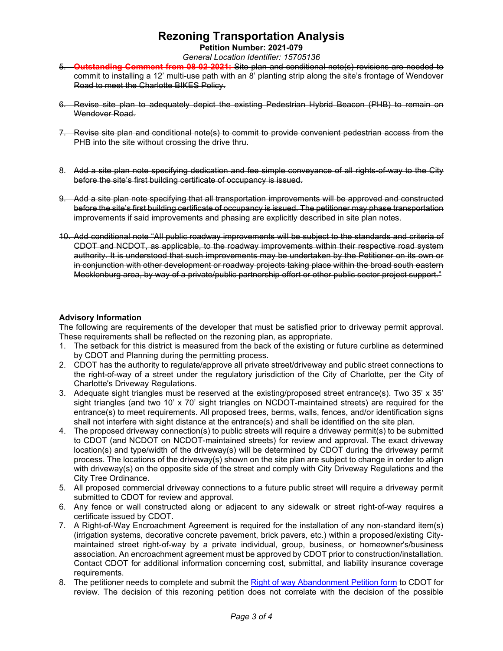**Petition Number: 2021-079**

*General Location Identifier: 15705136*

- 5. **Outstanding Comment from 08-02-2021:** Site plan and conditional note(s) revisions are needed to commit to installing a 12' multi-use path with an 8' planting strip along the site's frontage of Wendover Road to meet the Charlotte BIKES Policy.
- 6. Revise site plan to adequately depict the existing Pedestrian Hybrid Beacon (PHB) to remain on Wendover Road.
- 7. Revise site plan and conditional note(s) to commit to provide convenient pedestrian access from the PHB into the site without crossing the drive thru.
- 8. Add a site plan note specifying dedication and fee simple conveyance of all rights-of-way to the City before the site's first building certificate of occupancy is issued.
- 9. Add a site plan note specifying that all transportation improvements will be approved and constructed before the site's first building certificate of occupancy is issued. The petitioner may phase transportation improvements if said improvements and phasing are explicitly described in site plan notes.
- 10. Add conditional note "All public roadway improvements will be subject to the standards and criteria of CDOT and NCDOT, as applicable, to the roadway improvements within their respective road system authority. It is understood that such improvements may be undertaken by the Petitioner on its own or in conjunction with other development or roadway projects taking place within the broad south eastern Mecklenburg area, by way of a private/public partnership effort or other public sector project support."

# **Advisory Information**

The following are requirements of the developer that must be satisfied prior to driveway permit approval. These requirements shall be reflected on the rezoning plan, as appropriate.

- 1. The setback for this district is measured from the back of the existing or future curbline as determined by CDOT and Planning during the permitting process.
- 2. CDOT has the authority to regulate/approve all private street/driveway and public street connections to the right-of-way of a street under the regulatory jurisdiction of the City of Charlotte, per the City of Charlotte's Driveway Regulations.
- 3. Adequate sight triangles must be reserved at the existing/proposed street entrance(s). Two 35' x 35' sight triangles (and two 10' x 70' sight triangles on NCDOT-maintained streets) are required for the entrance(s) to meet requirements. All proposed trees, berms, walls, fences, and/or identification signs shall not interfere with sight distance at the entrance(s) and shall be identified on the site plan.
- 4. The proposed driveway connection(s) to public streets will require a driveway permit(s) to be submitted to CDOT (and NCDOT on NCDOT-maintained streets) for review and approval. The exact driveway location(s) and type/width of the driveway(s) will be determined by CDOT during the driveway permit process. The locations of the driveway(s) shown on the site plan are subject to change in order to align with driveway(s) on the opposite side of the street and comply with City Driveway Regulations and the City Tree Ordinance.
- 5. All proposed commercial driveway connections to a future public street will require a driveway permit submitted to CDOT for review and approval.
- 6. Any fence or wall constructed along or adjacent to any sidewalk or street right-of-way requires a certificate issued by CDOT.
- 7. A Right-of-Way Encroachment Agreement is required for the installation of any non-standard item(s) (irrigation systems, decorative concrete pavement, brick pavers, etc.) within a proposed/existing Citymaintained street right-of-way by a private individual, group, business, or homeowner's/business association. An encroachment agreement must be approved by CDOT prior to construction/installation. Contact CDOT for additional information concerning cost, submittal, and liability insurance coverage requirements.
- 8. The petitioner needs to complete and submit the [Right of way Abandonment Petition form](https://charlottenc.gov/Transportation/Permits/Pages/RightofWayAbandonment.aspx) to CDOT for review. The decision of this rezoning petition does not correlate with the decision of the possible